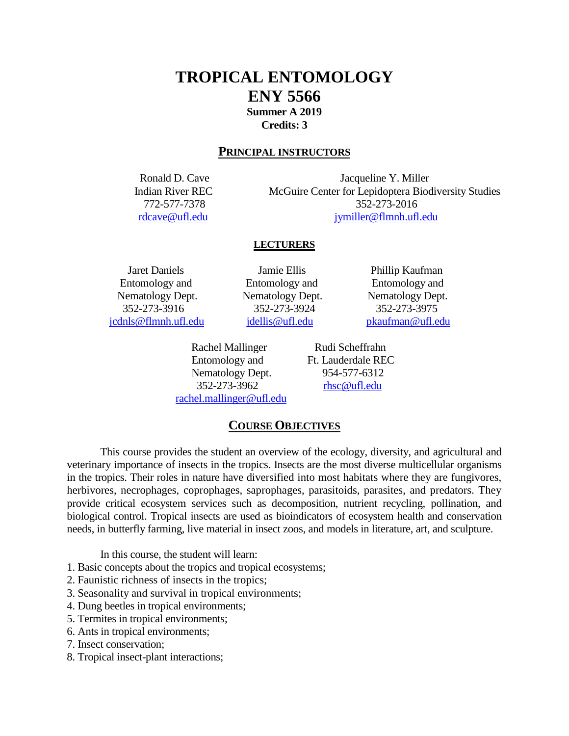# **TROPICAL ENTOMOLOGY ENY 5566 Summer A 2019 Credits: 3**

# **PRINCIPAL INSTRUCTORS**

Ronald D. Cave Jacqueline Y. Miller Indian River REC McGuire Center for Lepidoptera Biodiversity Studies 772-577-7378 352-273-2016 [rdcave@ufl.edu](mailto:rdcave@ufl.edu) [jymiller@flmnh.ufl.edu](mailto:jymiller@flmnh.ufl.edu)

# **LECTURERS**

 Entomology and Entomology and Entomology and Nematology Dept. Nematology Dept. Nematology Dept. [jcdnls@flmnh.ufl.edu](mailto:jcdnls@flmnh.ufl.edu) [jdellis@ufl.edu](mailto:jdellis@ufl.edu) [pkaufman@ufl.edu](mailto:pkaufman@ufl.edu)

 Jaret Daniels Jamie Ellis Phillip Kaufman 352-273-3916 352-273-3924 352-273-3975

> Entomology and Ft. Lauderdale REC Nematology Dept. 954-577-6312 352-273-3962 [rhsc@ufl.edu](mailto:rhsc@ufl.edu) [rachel.mallinger@ufl.edu](mailto:rachel.mallinger@ufl.edu)

Rachel Mallinger Rudi Scheffrahn

**COURSE OBJECTIVES**

This course provides the student an overview of the ecology, diversity, and agricultural and veterinary importance of insects in the tropics. Insects are the most diverse multicellular organisms in the tropics. Their roles in nature have diversified into most habitats where they are fungivores, herbivores, necrophages, coprophages, saprophages, parasitoids, parasites, and predators. They provide critical ecosystem services such as decomposition, nutrient recycling, pollination, and biological control. Tropical insects are used as bioindicators of ecosystem health and conservation needs, in butterfly farming, live material in insect zoos, and models in literature, art, and sculpture.

In this course, the student will learn:

1. Basic concepts about the tropics and tropical ecosystems;

- 2. Faunistic richness of insects in the tropics;
- 3. Seasonality and survival in tropical environments;
- 4. Dung beetles in tropical environments;
- 5. Termites in tropical environments;
- 6. Ants in tropical environments;
- 7. Insect conservation;
- 8. Tropical insect-plant interactions;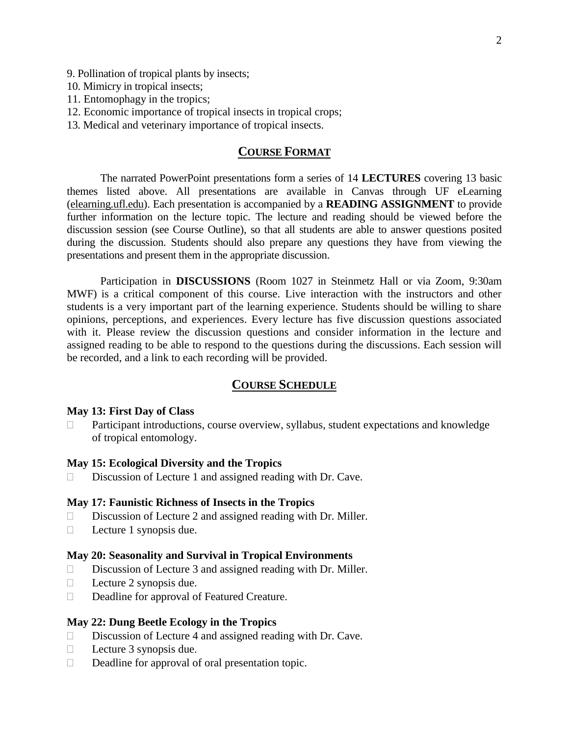- 9. Pollination of tropical plants by insects;
- 10. Mimicry in tropical insects;
- 11. Entomophagy in the tropics;
- 12. Economic importance of tropical insects in tropical crops;
- 13. Medical and veterinary importance of tropical insects.

# **COURSE FORMAT**

The narrated PowerPoint presentations form a series of 14 **LECTURES** covering 13 basic themes listed above. All presentations are available in Canvas through UF eLearning [\(elearning.ufl.edu\)](http://elearning.ufl.edu/). Each presentation is accompanied by a **READING ASSIGNMENT** to provide further information on the lecture topic. The lecture and reading should be viewed before the discussion session (see Course Outline), so that all students are able to answer questions posited during the discussion. Students should also prepare any questions they have from viewing the presentations and present them in the appropriate discussion.

Participation in **DISCUSSIONS** (Room 1027 in Steinmetz Hall or via Zoom, 9:30am MWF) is a critical component of this course. Live interaction with the instructors and other students is a very important part of the learning experience. Students should be willing to share opinions, perceptions, and experiences. Every lecture has five discussion questions associated with it. Please review the discussion questions and consider information in the lecture and assigned reading to be able to respond to the questions during the discussions. Each session will be recorded, and a link to each recording will be provided.

# **COURSE SCHEDULE**

# **May 13: First Day of Class**

 Participant introductions, course overview, syllabus, student expectations and knowledge of tropical entomology.

### **May 15: Ecological Diversity and the Tropics**

 $\square$  Discussion of Lecture 1 and assigned reading with Dr. Cave.

#### **May 17: Faunistic Richness of Insects in the Tropics**

- $\square$  Discussion of Lecture 2 and assigned reading with Dr. Miller.
- $\Box$  Lecture 1 synopsis due.

#### **May 20: Seasonality and Survival in Tropical Environments**

- $\square$  Discussion of Lecture 3 and assigned reading with Dr. Miller.
- $\Box$  Lecture 2 synopsis due.
- Deadline for approval of Featured Creature.

#### **May 22: Dung Beetle Ecology in the Tropics**

- $\Box$  Discussion of Lecture 4 and assigned reading with Dr. Cave.
- $\Box$  Lecture 3 synopsis due.
- $\Box$  Deadline for approval of oral presentation topic.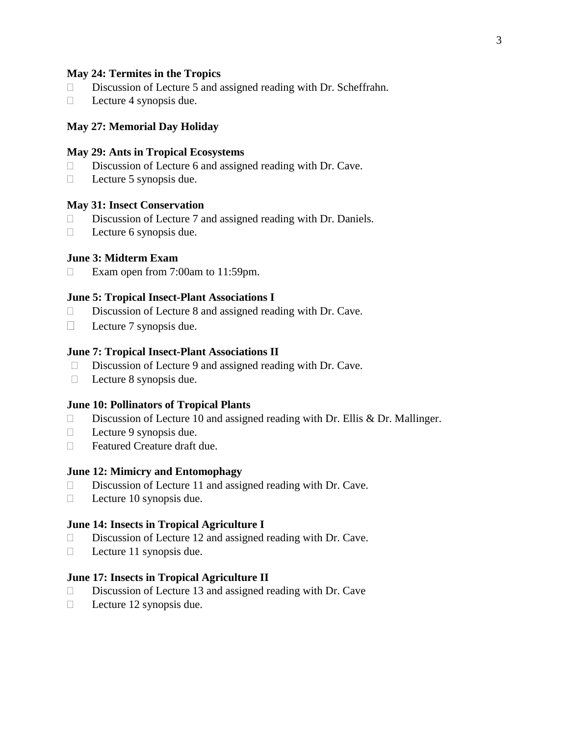# **May 24: Termites in the Tropics**

- $\square$  Discussion of Lecture 5 and assigned reading with Dr. Scheffrahn.
- $\Box$  Lecture 4 synopsis due.

### **May 27: Memorial Day Holiday**

# **May 29: Ants in Tropical Ecosystems**

- $\square$  Discussion of Lecture 6 and assigned reading with Dr. Cave.
- $\Box$  Lecture 5 synopsis due.

### **May 31: Insect Conservation**

- $\square$  Discussion of Lecture 7 and assigned reading with Dr. Daniels.
- $\Box$  Lecture 6 synopsis due.

# **June 3: Midterm Exam**

 $\Box$  Exam open from 7:00am to 11:59pm.

### **June 5: Tropical Insect-Plant Associations I**

- $\square$  Discussion of Lecture 8 and assigned reading with Dr. Cave.
- $\Box$  Lecture 7 synopsis due.

# **June 7: Tropical Insect-Plant Associations II**

- $\square$  Discussion of Lecture 9 and assigned reading with Dr. Cave.
- $\Box$  Lecture 8 synopsis due.

# **June 10: Pollinators of Tropical Plants**

- $\Box$  Discussion of Lecture 10 and assigned reading with Dr. Ellis & Dr. Mallinger.
- $\Box$  Lecture 9 synopsis due.
- □ Featured Creature draft due.

### **June 12: Mimicry and Entomophagy**

- $\square$  Discussion of Lecture 11 and assigned reading with Dr. Cave.
- $\Box$  Lecture 10 synopsis due.

#### **June 14: Insects in Tropical Agriculture I**

- □ Discussion of Lecture 12 and assigned reading with Dr. Cave.
- $\Box$  Lecture 11 synopsis due.

### **June 17: Insects in Tropical Agriculture II**

- □ Discussion of Lecture 13 and assigned reading with Dr. Cave
- $\Box$  Lecture 12 synopsis due.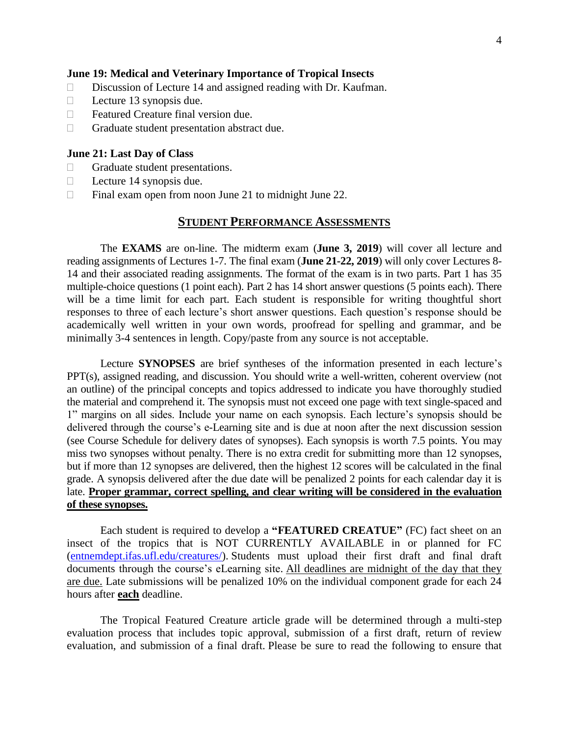# **June 19: Medical and Veterinary Importance of Tropical Insects**

- $\square$  Discussion of Lecture 14 and assigned reading with Dr. Kaufman.
- $\Box$  Lecture 13 synopsis due.
- $\Box$  Featured Creature final version due.
- $\Box$  Graduate student presentation abstract due.

# **June 21: Last Day of Class**

- Graduate student presentations.
- $\Box$  Lecture 14 synopsis due.
- $\Box$  Final exam open from noon June 21 to midnight June 22.

# **STUDENT PERFORMANCE ASSESSMENTS**

The **EXAMS** are on-line. The midterm exam (**June 3, 2019**) will cover all lecture and reading assignments of Lectures 1-7. The final exam (**June 21-22, 2019**) will only cover Lectures 8- 14 and their associated reading assignments. The format of the exam is in two parts. Part 1 has 35 multiple-choice questions (1 point each). Part 2 has 14 short answer questions (5 points each). There will be a time limit for each part. Each student is responsible for writing thoughtful short responses to three of each lecture's short answer questions. Each question's response should be academically well written in your own words, proofread for spelling and grammar, and be minimally 3-4 sentences in length. Copy/paste from any source is not acceptable.

Lecture **SYNOPSES** are brief syntheses of the information presented in each lecture's PPT(s), assigned reading, and discussion. You should write a well-written, coherent overview (not an outline) of the principal concepts and topics addressed to indicate you have thoroughly studied the material and comprehend it. The synopsis must not exceed one page with text single-spaced and 1" margins on all sides. Include your name on each synopsis. Each lecture's synopsis should be delivered through the course's e-Learning site and is due at noon after the next discussion session (see Course Schedule for delivery dates of synopses). Each synopsis is worth 7.5 points. You may miss two synopses without penalty. There is no extra credit for submitting more than 12 synopses, but if more than 12 synopses are delivered, then the highest 12 scores will be calculated in the final grade. A synopsis delivered after the due date will be penalized 2 points for each calendar day it is late. **Proper grammar, correct spelling, and clear writing will be considered in the evaluation of these synopses.**

Each student is required to develop a **"FEATURED CREATUE"** (FC) fact sheet on an insect of the tropics that is NOT CURRENTLY AVAILABLE in or planned for FC [\(entnemdept.ifas.ufl.edu/creatures/\)](https://entnemdept.ifas.ufl.edu/creatures/). Students must upload their first draft and final draft documents through the course's eLearning site. All deadlines are midnight of the day that they are due. Late submissions will be penalized 10% on the individual component grade for each 24 hours after **each** deadline.

The Tropical Featured Creature article grade will be determined through a multi-step evaluation process that includes topic approval, submission of a first draft, return of review evaluation, and submission of a final draft. Please be sure to read the following to ensure that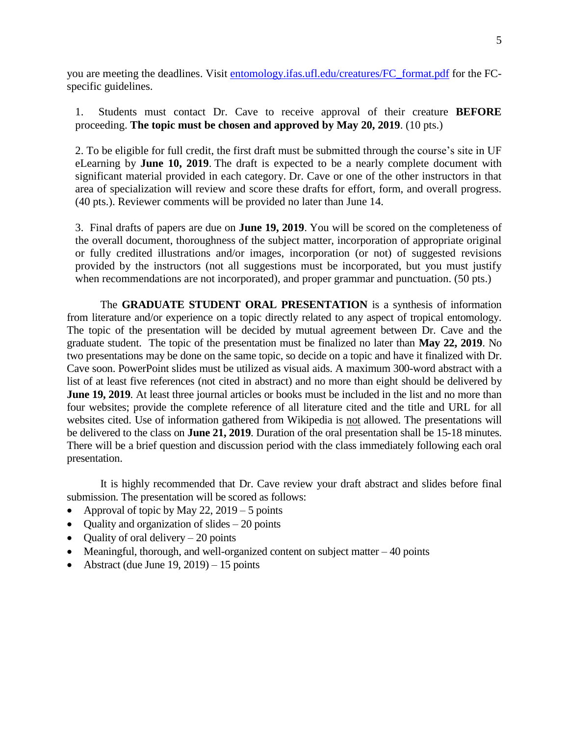you are meeting the deadlines. Visit [entomology.ifas.ufl.edu/creatures/FC\\_format.pdf](http://entomology.ifas.ufl.edu/creatures/FC_format.pdf) for the FCspecific guidelines.

1. Students must contact Dr. Cave to receive approval of their creature **BEFORE** proceeding. **The topic must be chosen and approved by May 20, 2019**. (10 pts.)

2. To be eligible for full credit, the first draft must be submitted through the course's site in UF eLearning by **June 10, 2019**. The draft is expected to be a nearly complete document with significant material provided in each category. Dr. Cave or one of the other instructors in that area of specialization will review and score these drafts for effort, form, and overall progress. (40 pts.). Reviewer comments will be provided no later than June 14.

3. Final drafts of papers are due on **June 19, 2019**. You will be scored on the completeness of the overall document, thoroughness of the subject matter, incorporation of appropriate original or fully credited illustrations and/or images, incorporation (or not) of suggested revisions provided by the instructors (not all suggestions must be incorporated, but you must justify when recommendations are not incorporated), and proper grammar and punctuation. (50 pts.)

The **GRADUATE STUDENT ORAL PRESENTATION** is a synthesis of information from literature and/or experience on a topic directly related to any aspect of tropical entomology. The topic of the presentation will be decided by mutual agreement between Dr. Cave and the graduate student. The topic of the presentation must be finalized no later than **May 22, 2019**. No two presentations may be done on the same topic, so decide on a topic and have it finalized with Dr. Cave soon. PowerPoint slides must be utilized as visual aids. A maximum 300-word abstract with a list of at least five references (not cited in abstract) and no more than eight should be delivered by **June 19, 2019**. At least three journal articles or books must be included in the list and no more than four websites; provide the complete reference of all literature cited and the title and URL for all websites cited. Use of information gathered from Wikipedia is not allowed. The presentations will be delivered to the class on **June 21, 2019**. Duration of the oral presentation shall be 15-18 minutes. There will be a brief question and discussion period with the class immediately following each oral presentation.

It is highly recommended that Dr. Cave review your draft abstract and slides before final submission. The presentation will be scored as follows:

- Approval of topic by May 22, 2019 5 points
- Quality and organization of slides  $-20$  points
- Quality of oral delivery  $-20$  points
- Meaningful, thorough, and well-organized content on subject matter  $-40$  points
- Abstract (due June  $19, 2019$ ) 15 points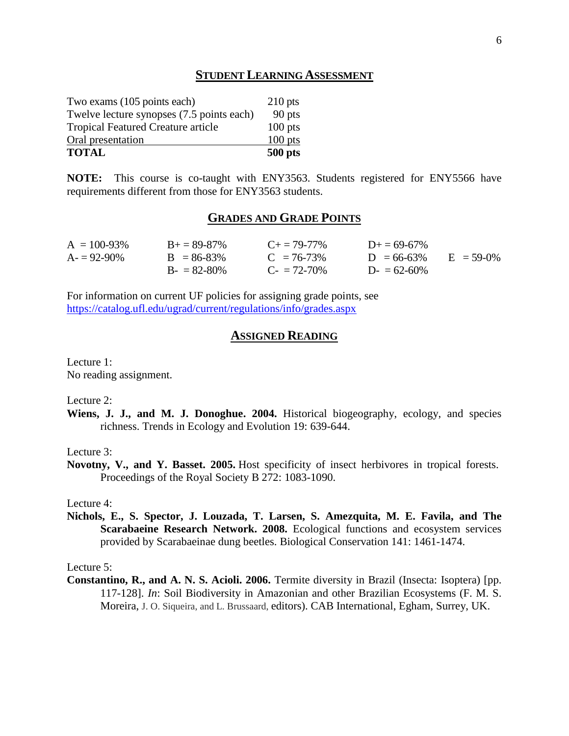# **STUDENT LEARNING ASSESSMENT**

| <b>TOTAL</b>                              | $500$ pts |
|-------------------------------------------|-----------|
| Oral presentation                         | $100$ pts |
| <b>Tropical Featured Creature article</b> | $100$ pts |
| Twelve lecture synopses (7.5 points each) | 90 pts    |
| Two exams (105 points each)               | $210$ pts |

**NOTE:** This course is co-taught with ENY3563. Students registered for ENY5566 have requirements different from those for ENY3563 students.

# **GRADES AND GRADE POINTS**

| $A = 100 - 93\%$ | $B_{+} = 89 - 87\%$ | $C_{\pm} = 79 - 77\%$    | $D_{\pm} = 69 - 67\%$ |              |
|------------------|---------------------|--------------------------|-----------------------|--------------|
| $A = 92-90\%$    | $B = 86-83\%$       | $C = 76-73%$             | $D = 66-63%$          | $E = 59-(0%$ |
|                  | $B = 82-80%$        | $C_{\rm{f}} = 72 - 70\%$ | $D = 62-60\%$         |              |

For information on current UF policies for assigning grade points, see <https://catalog.ufl.edu/ugrad/current/regulations/info/grades.aspx>

# **ASSIGNED READING**

Lecture 1: No reading assignment.

Lecture 2:

**Wiens, J. J., and M. J. Donoghue. 2004.** Historical biogeography, ecology, and species richness. Trends in Ecology and Evolution 19: 639-644.

Lecture 3:

**Novotny, V., and Y. Basset. 2005.** Host specificity of insect herbivores in tropical forests. Proceedings of the Royal Society B 272: 1083-1090.

Lecture 4:

**Nichols, E., S. Spector, J. Louzada, T. Larsen, S. Amezquita, M. E. Favila, and The Scarabaeine Research Network. 2008.** Ecological functions and ecosystem services provided by Scarabaeinae dung beetles. Biological Conservation 141: 1461-1474.

Lecture 5:

**Constantino, R., and A. N. S. Acioli. 2006.** Termite diversity in Brazil (Insecta: Isoptera) [pp. 117-128]. *In*: Soil Biodiversity in Amazonian and other Brazilian Ecosystems (F. M. S. Moreira, J. O. Siqueira, and L. Brussaard, editors). CAB International, Egham, Surrey, UK.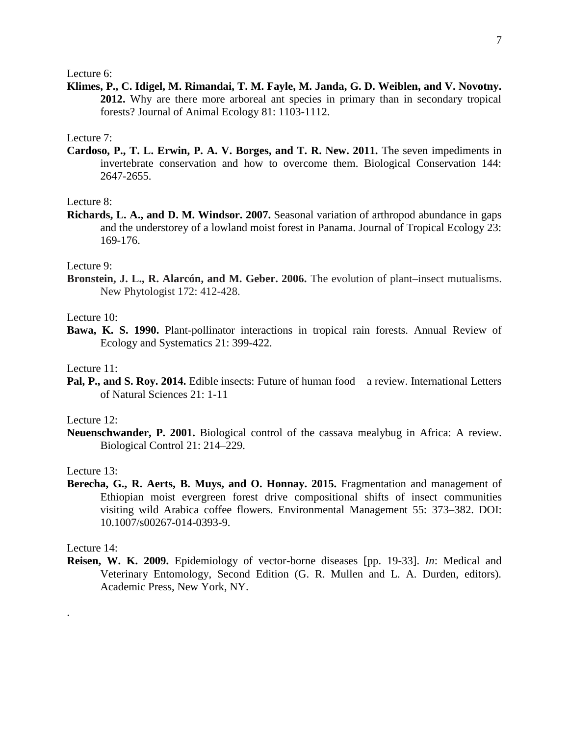Lecture 6:

**Klimes, P., C. Idigel, M. Rimandai, T. M. Fayle, M. Janda, G. D. Weiblen, and V. Novotny. 2012.** Why are there more arboreal ant species in primary than in secondary tropical forests? Journal of Animal Ecology 81: 1103-1112.

Lecture 7:

**Cardoso, P., T. L. Erwin, P. A. V. Borges, and T. R. New. 2011.** The seven impediments in invertebrate conservation and how to overcome them. Biological Conservation 144: 2647-2655.

Lecture 8:

**Richards, L. A., and D. M. Windsor. 2007.** Seasonal variation of arthropod abundance in gaps and the understorey of a lowland moist forest in Panama. Journal of Tropical Ecology 23: 169-176.

Lecture 9:

**Bronstein, J. L., R. Alarcón, and M. Geber. 2006.** The evolution of plant–insect mutualisms. New Phytologist 172: 412-428.

Lecture 10:

**Bawa, K. S. 1990.** Plant-pollinator interactions in tropical rain forests. Annual Review of Ecology and Systematics 21: 399-422.

Lecture 11:

**Pal, P., and S. Roy. 2014.** Edible insects: Future of human food – a review. International Letters of Natural Sciences 21: 1-11

Lecture 12:

**Neuenschwander, P. 2001.** Biological control of the cassava mealybug in Africa: A review. Biological Control 21: 214–229.

Lecture 13:

**Berecha, G., R. Aerts, B. Muys, and O. Honnay. 2015.** Fragmentation and management of Ethiopian moist evergreen forest drive compositional shifts of insect communities visiting wild Arabica coffee flowers. Environmental Management 55: 373–382. DOI: 10.1007/s00267-014-0393-9.

Lecture 14:

.

**Reisen, W. K. 2009.** Epidemiology of vector-borne diseases [pp. 19-33]. *In*: Medical and Veterinary Entomology, Second Edition (G. R. Mullen and L. A. Durden, editors). Academic Press, New York, NY.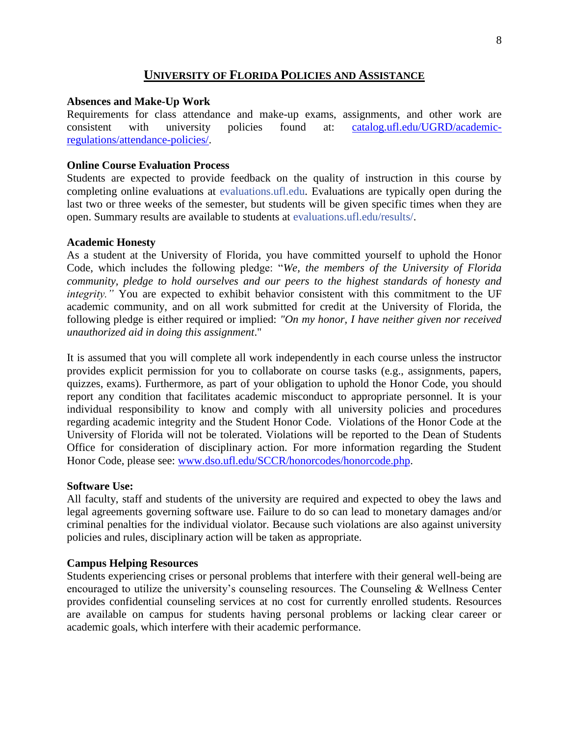# **UNIVERSITY OF FLORIDA POLICIES AND ASSISTANCE**

# **Absences and Make-Up Work**

Requirements for class attendance and make-up exams, assignments, and other work are consistent with university policies found at: [catalog.ufl.edu/UGRD/academic](https://catalog.ufl.edu/UGRD/academic-regulations/attendance-policies/)[regulations/attendance-policies/.](https://catalog.ufl.edu/UGRD/academic-regulations/attendance-policies/)

# **Online Course Evaluation Process**

Students are expected to provide feedback on the quality of instruction in this course by completing online evaluations at evaluations.ufl.edu. Evaluations are typically open during the last two or three weeks of the semester, but students will be given specific times when they are open. Summary results are available to students at evaluations.ufl.edu/results/.

#### **Academic Honesty**

As a student at the University of Florida, you have committed yourself to uphold the Honor Code, which includes the following pledge: "*We, the members of the University of Florida community, pledge to hold ourselves and our peers to the highest standards of honesty and integrity."* You are expected to exhibit behavior consistent with this commitment to the UF academic community, and on all work submitted for credit at the University of Florida, the following pledge is either required or implied: *"On my honor, I have neither given nor received unauthorized aid in doing this assignment*."

It is assumed that you will complete all work independently in each course unless the instructor provides explicit permission for you to collaborate on course tasks (e.g., assignments, papers, quizzes, exams). Furthermore, as part of your obligation to uphold the Honor Code, you should report any condition that facilitates academic misconduct to appropriate personnel. It is your individual responsibility to know and comply with all university policies and procedures regarding academic integrity and the Student Honor Code. Violations of the Honor Code at the University of Florida will not be tolerated. Violations will be reported to the Dean of Students Office for consideration of disciplinary action. For more information regarding the Student Honor Code, please see: [www.dso.ufl.edu/SCCR/honorcodes/honorcode.php.](http://www.dso.ufl.edu/SCCR/honorcodes/honorcode.php)

### **Software Use:**

All faculty, staff and students of the university are required and expected to obey the laws and legal agreements governing software use. Failure to do so can lead to monetary damages and/or criminal penalties for the individual violator. Because such violations are also against university policies and rules, disciplinary action will be taken as appropriate.

### **Campus Helping Resources**

Students experiencing crises or personal problems that interfere with their general well-being are encouraged to utilize the university's counseling resources. The Counseling & Wellness Center provides confidential counseling services at no cost for currently enrolled students. Resources are available on campus for students having personal problems or lacking clear career or academic goals, which interfere with their academic performance.